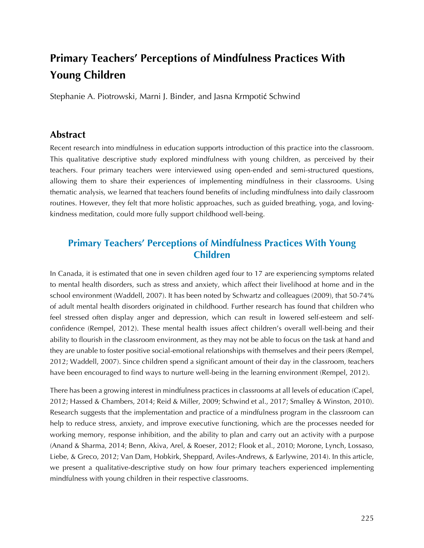# **Primary Teachers' Perceptions of Mindfulness Practices With Young Children**

Stephanie A. Piotrowski, Marni J. Binder, and Jasna Krmpotić Schwind

#### **Abstract**

Recent research into mindfulness in education supports introduction of this practice into the classroom. This qualitative descriptive study explored mindfulness with young children, as perceived by their teachers. Four primary teachers were interviewed using open-ended and semi-structured questions, allowing them to share their experiences of implementing mindfulness in their classrooms. Using thematic analysis, we learned that teachers found benefits of including mindfulness into daily classroom routines. However, they felt that more holistic approaches, such as guided breathing, yoga, and lovingkindness meditation, could more fully support childhood well-being.

## **Primary Teachers' Perceptions of Mindfulness Practices With Young Children**

In Canada, it is estimated that one in seven children aged four to 17 are experiencing symptoms related to mental health disorders, such as stress and anxiety, which affect their livelihood at home and in the school environment (Waddell, 2007). It has been noted by Schwartz and colleagues (2009), that 50-74% of adult mental health disorders originated in childhood. Further research has found that children who feel stressed often display anger and depression, which can result in lowered self-esteem and selfconfidence (Rempel, 2012). These mental health issues affect children's overall well-being and their ability to flourish in the classroom environment, as they may not be able to focus on the task at hand and they are unable to foster positive social-emotional relationships with themselves and their peers (Rempel, 2012; Waddell, 2007). Since children spend a significant amount of their day in the classroom, teachers have been encouraged to find ways to nurture well-being in the learning environment (Rempel, 2012).

There has been a growing interest in mindfulness practices in classrooms at all levels of education (Capel, 2012; Hassed & Chambers, 2014; Reid & Miller, 2009; Schwind et al., 2017; Smalley & Winston, 2010). Research suggests that the implementation and practice of a mindfulness program in the classroom can help to reduce stress, anxiety, and improve executive functioning, which are the processes needed for working memory, response inhibition, and the ability to plan and carry out an activity with a purpose (Anand & Sharma, 2014; Benn, Akiva, Arel, & Roeser, 2012; Flook et al., 2010; Morone, Lynch, Lossaso, Liebe, & Greco, 2012; Van Dam, Hobkirk, Sheppard, Aviles-Andrews, & Earlywine, 2014). In this article, we present a qualitative-descriptive study on how four primary teachers experienced implementing mindfulness with young children in their respective classrooms.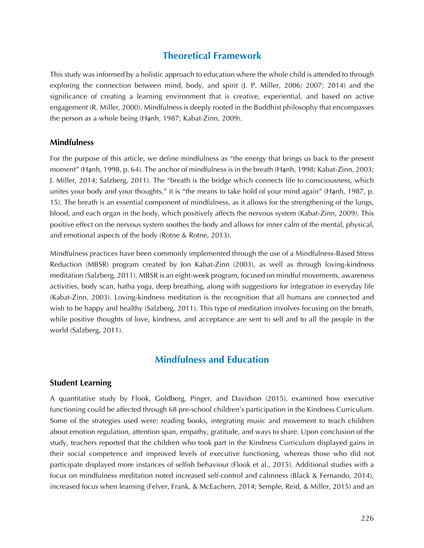## **Theoretical Framework**

This study was informed by a holistic approach to education where the whole child is attended to through exploring the connection between mind, body, and spirit (J. P. Miller, 2006; 2007; 2014) and the significance of creating a learning environment that is creative, experiential, and based on active engagement (R. Miller, 2000). Mindfulness is deeply rooted in the Buddhist philosophy that encompasses the person as a whole being (Hạnh, 1987; Kabat-Zinn, 2009).

#### **Mindfulness**

For the purpose of this article, we define mindfulness as "the energy that brings us back to the present moment" (Hạnh, 1998, p. 64). The anchor of mindfulness is in the breath (Hạnh, 1998; Kabat-Zinn, 2003; J. Miller, 2014; Salzberg, 2011). The "breath is the bridge which connects life to consciousness, which unites your body and your thoughts," it is "the means to take hold of your mind again" (Hạnh, 1987, p. 15). The breath is an essential component of mindfulness, as it allows for the strengthening of the lungs, blood, and each organ in the body, which positively affects the nervous system (Kabat-Zinn, 2009). This positive effect on the nervous system soothes the body and allows for inner calm of the mental, physical, and emotional aspects of the body (Rotne & Rotne, 2013).

Mindfulness practices have been commonly implemented through the use of a Mindfulness-Based Stress Reduction (MBSR) program created by Jon Kabat-Zinn (2003), as well as through loving-kindness meditation (Salzberg, 2011). MBSR is an eight-week program, focused on mindful movements, awareness activities, body scan, hatha yoga, deep breathing, along with suggestions for integration in everyday life (Kabat-Zinn, 2003). Loving-kindness meditation is the recognition that all humans are connected and wish to be happy and healthy (Salzberg, 2011). This type of meditation involves focusing on the breath, while positive thoughts of love, kindness, and acceptance are sent to self and to all the people in the world (Salzberg, 2011).

## **Mindfulness and Education**

#### **Student Learning**

A quantitative study by Flook, Goldberg, Pinger, and Davidson (2015), examined how executive functioning could be affected through 68 pre-school children's participation in the Kindness Curriculum. Some of the strategies used were: reading books, integrating music and movement to teach children about emotion regulation, attention span, empathy, gratitude, and ways to share. Upon conclusion of the study, teachers reported that the children who took part in the Kindness Curriculum displayed gains in their social competence and improved levels of executive functioning, whereas those who did not participate displayed more instances of selfish behaviour (Flook et al., 2015). Additional studies with a focus on mindfulness meditation noted increased self-control and calmness (Black & Fernando, 2014), increased focus when learning (Felver, Frank, & McEachern, 2014; Semple, Reid, & Miller, 2015) and an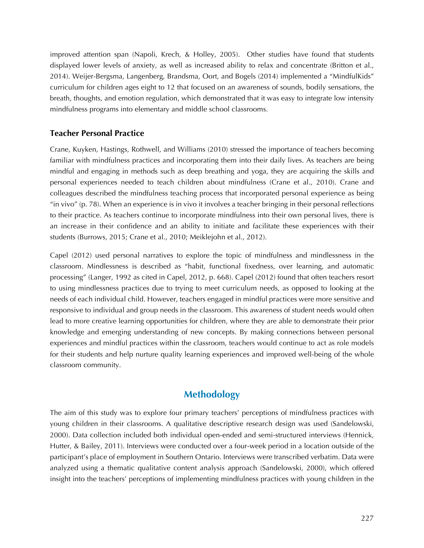improved attention span (Napoli, Krech, & Holley, 2005). Other studies have found that students displayed lower levels of anxiety, as well as increased ability to relax and concentrate (Britton et al., 2014). Weijer-Bergsma, Langenberg, Brandsma, Oort, and Bogels (2014) implemented a "MindfulKids" curriculum for children ages eight to 12 that focused on an awareness of sounds, bodily sensations, the breath, thoughts, and emotion regulation, which demonstrated that it was easy to integrate low intensity mindfulness programs into elementary and middle school classrooms.

#### **Teacher Personal Practice**

Crane, Kuyken, Hastings, Rothwell, and Williams (2010) stressed the importance of teachers becoming familiar with mindfulness practices and incorporating them into their daily lives. As teachers are being mindful and engaging in methods such as deep breathing and yoga, they are acquiring the skills and personal experiences needed to teach children about mindfulness (Crane et al., 2010). Crane and colleagues described the mindfulness teaching process that incorporated personal experience as being "in vivo" (p. 78). When an experience is in vivo it involves a teacher bringing in their personal reflections to their practice. As teachers continue to incorporate mindfulness into their own personal lives, there is an increase in their confidence and an ability to initiate and facilitate these experiences with their students (Burrows, 2015; Crane et al., 2010; Meiklejohn et al., 2012).

Capel (2012) used personal narratives to explore the topic of mindfulness and mindlessness in the classroom. Mindlessness is described as "habit, functional fixedness, over learning, and automatic processing" (Langer, 1992 as cited in Capel, 2012, p. 668). Capel (2012) found that often teachers resort to using mindlessness practices due to trying to meet curriculum needs, as opposed to looking at the needs of each individual child. However, teachers engaged in mindful practices were more sensitive and responsive to individual and group needs in the classroom. This awareness of student needs would often lead to more creative learning opportunities for children, where they are able to demonstrate their prior knowledge and emerging understanding of new concepts. By making connections between personal experiences and mindful practices within the classroom, teachers would continue to act as role models for their students and help nurture quality learning experiences and improved well-being of the whole classroom community.

## **Methodology**

The aim of this study was to explore four primary teachers' perceptions of mindfulness practices with young children in their classrooms. A qualitative descriptive research design was used (Sandelowski, 2000). Data collection included both individual open-ended and semi-structured interviews (Hennick, Hutter, & Bailey, 2011). Interviews were conducted over a four-week period in a location outside of the participant's place of employment in Southern Ontario. Interviews were transcribed verbatim. Data were analyzed using a thematic qualitative content analysis approach (Sandelowski, 2000), which offered insight into the teachers' perceptions of implementing mindfulness practices with young children in the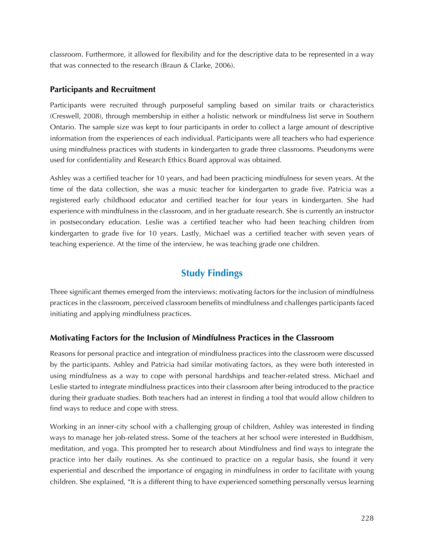classroom. Furthermore, it allowed for flexibility and for the descriptive data to be represented in a way that was connected to the research (Braun & Clarke, 2006).

#### **Participants and Recruitment**

Participants were recruited through purposeful sampling based on similar traits or characteristics (Creswell, 2008), through membership in either a holistic network or mindfulness list serve in Southern Ontario. The sample size was kept to four participants in order to collect a large amount of descriptive information from the experiences of each individual. Participants were all teachers who had experience using mindfulness practices with students in kindergarten to grade three classrooms. Pseudonyms were used for confidentiality and Research Ethics Board approval was obtained.

Ashley was a certified teacher for 10 years, and had been practicing mindfulness for seven years. At the time of the data collection, she was a music teacher for kindergarten to grade five. Patricia was a registered early childhood educator and certified teacher for four years in kindergarten. She had experience with mindfulness in the classroom, and in her graduate research. She is currently an instructor in postsecondary education. Leslie was a certified teacher who had been teaching children from kindergarten to grade five for 10 years. Lastly, Michael was a certified teacher with seven years of teaching experience. At the time of the interview, he was teaching grade one children.

## **Study Findings**

Three significant themes emerged from the interviews: motivating factors for the inclusion of mindfulness practices in the classroom, perceived classroom benefits of mindfulness and challenges participants faced initiating and applying mindfulness practices.

#### **Motivating Factors for the Inclusion of Mindfulness Practices in the Classroom**

Reasons for personal practice and integration of mindfulness practices into the classroom were discussed by the participants. Ashley and Patricia had similar motivating factors, as they were both interested in using mindfulness as a way to cope with personal hardships and teacher-related stress. Michael and Leslie started to integrate mindfulness practices into their classroom after being introduced to the practice during their graduate studies. Both teachers had an interest in finding a tool that would allow children to find ways to reduce and cope with stress.

Working in an inner-city school with a challenging group of children, Ashley was interested in finding ways to manage her job-related stress. Some of the teachers at her school were interested in Buddhism, meditation, and yoga. This prompted her to research about Mindfulness and find ways to integrate the practice into her daily routines. As she continued to practice on a regular basis, she found it very experiential and described the importance of engaging in mindfulness in order to facilitate with young children. She explained, "It is a different thing to have experienced something personally versus learning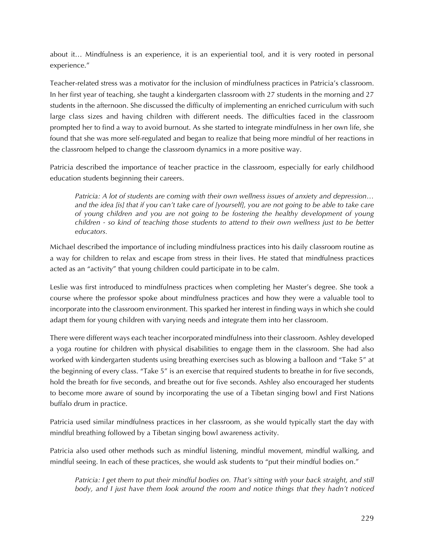about it… Mindfulness is an experience, it is an experiential tool, and it is very rooted in personal experience."

Teacher-related stress was a motivator for the inclusion of mindfulness practices in Patricia's classroom. In her first year of teaching, she taught a kindergarten classroom with 27 students in the morning and 27 students in the afternoon. She discussed the difficulty of implementing an enriched curriculum with such large class sizes and having children with different needs. The difficulties faced in the classroom prompted her to find a way to avoid burnout. As she started to integrate mindfulness in her own life, she found that she was more self-regulated and began to realize that being more mindful of her reactions in the classroom helped to change the classroom dynamics in a more positive way.

Patricia described the importance of teacher practice in the classroom, especially for early childhood education students beginning their careers.

*Patricia: A lot of students are coming with their own wellness issues of anxiety and depression… and the idea [is] that if you can't take care of [yourself], you are not going to be able to take care of young children and you are not going to be fostering the healthy development of young children - so kind of teaching those students to attend to their own wellness just to be better educators.*

Michael described the importance of including mindfulness practices into his daily classroom routine as a way for children to relax and escape from stress in their lives. He stated that mindfulness practices acted as an "activity" that young children could participate in to be calm.

Leslie was first introduced to mindfulness practices when completing her Master's degree. She took a course where the professor spoke about mindfulness practices and how they were a valuable tool to incorporate into the classroom environment. This sparked her interest in finding ways in which she could adapt them for young children with varying needs and integrate them into her classroom.

There were different ways each teacher incorporated mindfulness into their classroom. Ashley developed a yoga routine for children with physical disabilities to engage them in the classroom. She had also worked with kindergarten students using breathing exercises such as blowing a balloon and "Take 5" at the beginning of every class. "Take 5" is an exercise that required students to breathe in for five seconds, hold the breath for five seconds, and breathe out for five seconds. Ashley also encouraged her students to become more aware of sound by incorporating the use of a Tibetan singing bowl and First Nations buffalo drum in practice.

Patricia used similar mindfulness practices in her classroom, as she would typically start the day with mindful breathing followed by a Tibetan singing bowl awareness activity.

Patricia also used other methods such as mindful listening, mindful movement, mindful walking, and mindful seeing. In each of these practices, she would ask students to "put their mindful bodies on."

*Patricia: I get them to put their mindful bodies on. That's sitting with your back straight, and still body, and I just have them look around the room and notice things that they hadn't noticed*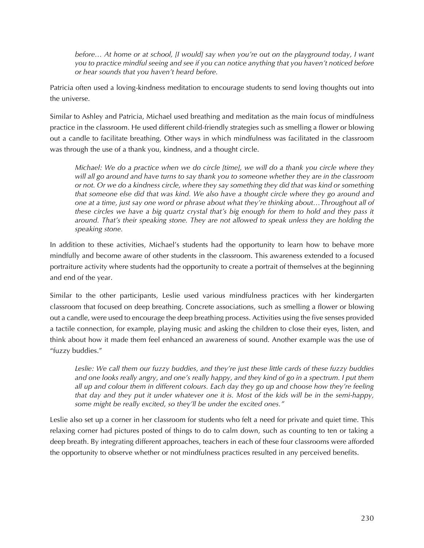*before… At home or at school, [I would] say when you're out on the playground today, I want you to practice mindful seeing and see if you can notice anything that you haven't noticed before or hear sounds that you haven't heard before.*

Patricia often used a loving-kindness meditation to encourage students to send loving thoughts out into the universe.

Similar to Ashley and Patricia, Michael used breathing and meditation as the main focus of mindfulness practice in the classroom. He used different child-friendly strategies such as smelling a flower or blowing out a candle to facilitate breathing. Other ways in which mindfulness was facilitated in the classroom was through the use of a thank you, kindness, and a thought circle.

*Michael: We do a practice when we do circle [time], we will do a thank you circle where they will all go around and have turns to say thank you to someone whether they are in the classroom or not. Or we do a kindness circle, where they say something they did that was kind or something that someone else did that was kind. We also have a thought circle where they go around and one at a time, just say one word or phrase about what they're thinking about…Throughout all of these circles we have a big quartz crystal that's big enough for them to hold and they pass it around. That's their speaking stone. They are not allowed to speak unless they are holding the speaking stone.*

In addition to these activities, Michael's students had the opportunity to learn how to behave more mindfully and become aware of other students in the classroom. This awareness extended to a focused portraiture activity where students had the opportunity to create a portrait of themselves at the beginning and end of the year.

Similar to the other participants, Leslie used various mindfulness practices with her kindergarten classroom that focused on deep breathing. Concrete associations, such as smelling a flower or blowing out a candle, were used to encourage the deep breathing process. Activities using the five senses provided a tactile connection, for example, playing music and asking the children to close their eyes, listen, and think about how it made them feel enhanced an awareness of sound. Another example was the use of "fuzzy buddies."

*Leslie: We call them our fuzzy buddies, and they're just these little cards of these fuzzy buddies*  and one looks really angry, and one's really happy, and they kind of go in a spectrum. I put them *all up and colour them in different colours. Each day they go up and choose how they're feeling that day and they put it under whatever one it is. Most of the kids will be in the semi-happy, some might be really excited, so they'll be under the excited ones."*

Leslie also set up a corner in her classroom for students who felt a need for private and quiet time. This relaxing corner had pictures posted of things to do to calm down, such as counting to ten or taking a deep breath. By integrating different approaches, teachers in each of these four classrooms were afforded the opportunity to observe whether or not mindfulness practices resulted in any perceived benefits.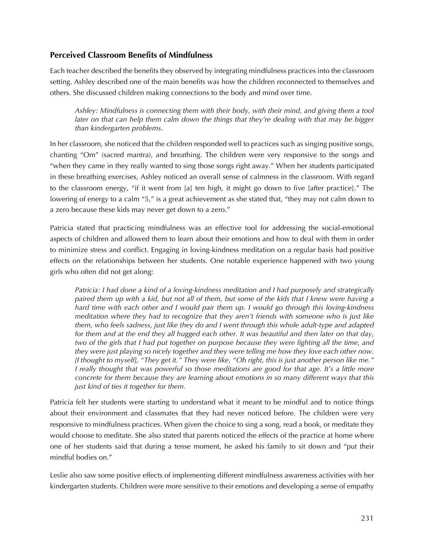#### **Perceived Classroom Benefits of Mindfulness**

Each teacher described the benefits they observed by integrating mindfulness practices into the classroom setting. Ashley described one of the main benefits was how the children reconnected to themselves and others. She discussed children making connections to the body and mind over time.

*Ashley: Mindfulness is connecting them with their body, with their mind, and giving them a tool later on that can help them calm down the things that they're dealing with that may be bigger than kindergarten problems*.

In her classroom, she noticed that the children responded well to practices such as singing positive songs, chanting "Om" (sacred mantra), and breathing. The children were very responsive to the songs and "when they came in they really wanted to sing those songs right away." When her students participated in these breathing exercises, Ashley noticed an overall sense of calmness in the classroom. With regard to the classroom energy, "if it went from [a] ten high, it might go down to five [after practice]." The lowering of energy to a calm "5," is a great achievement as she stated that, "they may not calm down to a zero because these kids may never get down to a zero."

Patricia stated that practicing mindfulness was an effective tool for addressing the social-emotional aspects of children and allowed them to learn about their emotions and how to deal with them in order to minimize stress and conflict. Engaging in loving-kindness meditation on a regular basis had positive effects on the relationships between her students. One notable experience happened with two young girls who often did not get along:

*Patricia: I had done a kind of a loving-kindness meditation and I had purposely and strategically paired them up with a kid, but not all of them, but some of the kids that I knew were having a hard time with each other and I would pair them up. I would go through this loving-kindness meditation where they had to recognize that they aren't friends with someone who is just like them, who feels sadness, just like they do and I went through this whole adult-type and adapted for them and at the end they all hugged each other. It was beautiful and then later on that day, two of the girls that I had put together on purpose because they were fighting all the time, and they were just playing so nicely together and they were telling me how they love each other now. [I thought to myself], "They get it." They were like, "Oh right, this is just another person like me." I* really thought that was powerful so those meditations are good for that age. It's a little more *concrete for them because they are learning about emotions in so many different ways that this just kind of ties it together for them.*

Patricia felt her students were starting to understand what it meant to be mindful and to notice things about their environment and classmates that they had never noticed before. The children were very responsive to mindfulness practices. When given the choice to sing a song, read a book, or meditate they would choose to meditate. She also stated that parents noticed the effects of the practice at home where one of her students said that during a tense moment, he asked his family to sit down and "put their mindful bodies on."

Leslie also saw some positive effects of implementing different mindfulness awareness activities with her kindergarten students. Children were more sensitive to their emotions and developing a sense of empathy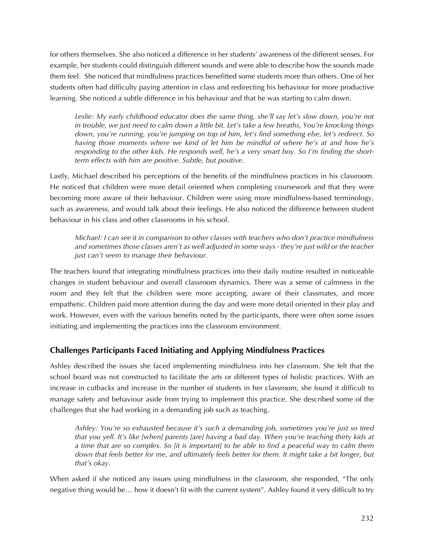for others themselves. She also noticed a difference in her students' awareness of the different senses. For example, her students could distinguish different sounds and were able to describe how the sounds made them feel. She noticed that mindfulness practices benefitted some students more than others. One of her students often had difficulty paying attention in class and redirecting his behaviour for more productive learning. She noticed a subtle difference in his behaviour and that he was starting to calm down.

Leslie: My early childhood educator does the same thing, she'll say let's slow down, you're not *in trouble, we just need to calm down a little bit. Let's take a few breaths, You're knocking things down, you're running, you're jumping on top of him, let's find something else, let's redirect. So having those moments where we kind of let him be mindful of where he's at and how he's responding to the other kids. He responds well, he's a very smart boy. So I'm finding the shortterm effects with him are positive. Subtle, but positive.*

Lastly, Michael described his perceptions of the benefits of the mindfulness practices in his classroom. He noticed that children were more detail oriented when completing coursework and that they were becoming more aware of their behaviour. Children were using more mindfulness-based terminology, such as awareness, and would talk about their feelings. He also noticed the difference between student behaviour in his class and other classrooms in his school.

*Michael: I can see it in comparison to other classes with teachers who don't practice mindfulness and sometimes those classes aren't as well adjusted in some ways - they're just wild or the teacher just can't seem to manage their behaviour.*

The teachers found that integrating mindfulness practices into their daily routine resulted in noticeable changes in student behaviour and overall classroom dynamics. There was a sense of calmness in the room and they felt that the children were more accepting, aware of their classmates, and more empathetic. Children paid more attention during the day and were more detail oriented in their play and work. However, even with the various benefits noted by the participants, there were often some issues initiating and implementing the practices into the classroom environment.

## **Challenges Participants Faced Initiating and Applying Mindfulness Practices**

Ashley described the issues she faced implementing mindfulness into her classroom. She felt that the school board was not constructed to facilitate the arts or different types of holistic practices. With an increase in cutbacks and increase in the number of students in her classroom, she found it difficult to manage safety and behaviour aside from trying to implement this practice. She described some of the challenges that she had working in a demanding job such as teaching.

*Ashley: You're so exhausted because it's such a demanding job, sometimes you're just so tired that you yell. It's like [when] parents [are] having a bad day. When you're teaching thirty kids at a time that are so complex. So [it is important] to be able to find a peaceful way to calm them down that feels better for me, and ultimately feels better for them. It might take a bit longer, but that's okay.*

When asked if she noticed any issues using mindfulness in the classroom, she responded, "The only negative thing would be… how it doesn't fit with the current system". Ashley found it very difficult to try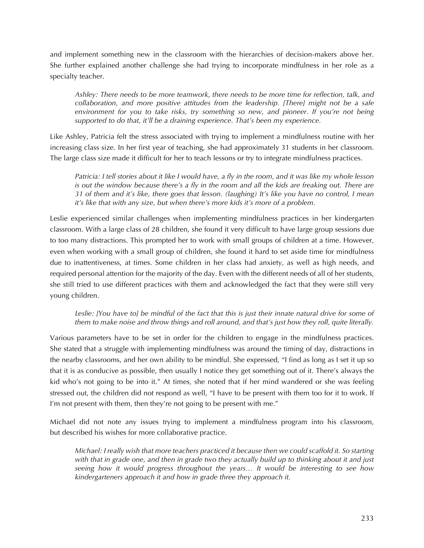and implement something new in the classroom with the hierarchies of decision-makers above her. She further explained another challenge she had trying to incorporate mindfulness in her role as a specialty teacher.

*Ashley: There needs to be more teamwork, there needs to be more time for reflection, talk, and collaboration, and more positive attitudes from the leadership. [There] might not be a safe environment for you to take risks, try something so new, and pioneer. If you're not being supported to do that, it'll be a draining experience. That's been my experience.*

Like Ashley, Patricia felt the stress associated with trying to implement a mindfulness routine with her increasing class size. In her first year of teaching, she had approximately 31 students in her classroom. The large class size made it difficult for her to teach lessons or try to integrate mindfulness practices.

*Patricia: I tell stories about it like I would have, a fly in the room, and it was like my whole lesson is out the window because there's a fly in the room and all the kids are freaking out. There are 31 of them and it's like, there goes that lesson. (laughing) It's like you have no control, I mean it's like that with any size, but when there's more kids it's more of a problem.*

Leslie experienced similar challenges when implementing mindfulness practices in her kindergarten classroom. With a large class of 28 children, she found it very difficult to have large group sessions due to too many distractions. This prompted her to work with small groups of children at a time. However, even when working with a small group of children, she found it hard to set aside time for mindfulness due to inattentiveness, at times. Some children in her class had anxiety, as well as high needs, and required personal attention for the majority of the day. Even with the different needs of all of her students, she still tried to use different practices with them and acknowledged the fact that they were still very young children.

Leslie: [You have to] be mindful of the fact that this is just their innate natural drive for some of *them to make noise and throw things and roll around, and that's just how they roll, quite literally.* 

Various parameters have to be set in order for the children to engage in the mindfulness practices. She stated that a struggle with implementing mindfulness was around the timing of day, distractions in the nearby classrooms, and her own ability to be mindful. She expressed, "I find as long as I set it up so that it is as conducive as possible, then usually I notice they get something out of it. There's always the kid who's not going to be into it." At times, she noted that if her mind wandered or she was feeling stressed out, the children did not respond as well, "I have to be present with them too for it to work. If I'm not present with them, then they're not going to be present with me."

Michael did not note any issues trying to implement a mindfulness program into his classroom, but described his wishes for more collaborative practice.

*Michael: I really wish that more teachers practiced it because then we could scaffold it. So starting with that in grade one, and then in grade two they actually build up to thinking about it and just seeing how it would progress throughout the years… It would be interesting to see how kindergarteners approach it and how in grade three they approach it.*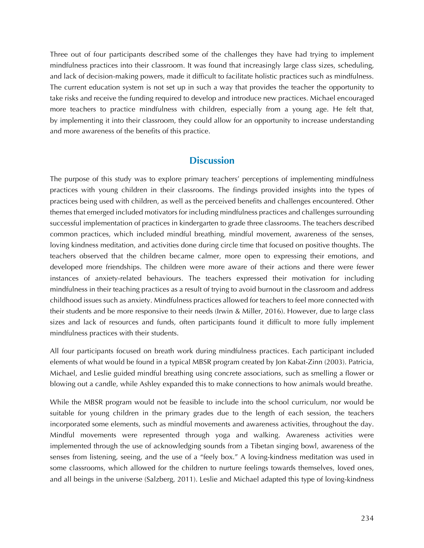Three out of four participants described some of the challenges they have had trying to implement mindfulness practices into their classroom. It was found that increasingly large class sizes, scheduling, and lack of decision-making powers, made it difficult to facilitate holistic practices such as mindfulness. The current education system is not set up in such a way that provides the teacher the opportunity to take risks and receive the funding required to develop and introduce new practices. Michael encouraged more teachers to practice mindfulness with children, especially from a young age. He felt that, by implementing it into their classroom, they could allow for an opportunity to increase understanding and more awareness of the benefits of this practice.

## **Discussion**

The purpose of this study was to explore primary teachers' perceptions of implementing mindfulness practices with young children in their classrooms. The findings provided insights into the types of practices being used with children, as well as the perceived benefits and challenges encountered. Other themes that emerged included motivators for including mindfulness practices and challenges surrounding successful implementation of practices in kindergarten to grade three classrooms. The teachers described common practices, which included mindful breathing, mindful movement, awareness of the senses, loving kindness meditation, and activities done during circle time that focused on positive thoughts. The teachers observed that the children became calmer, more open to expressing their emotions, and developed more friendships. The children were more aware of their actions and there were fewer instances of anxiety-related behaviours. The teachers expressed their motivation for including mindfulness in their teaching practices as a result of trying to avoid burnout in the classroom and address childhood issues such as anxiety. Mindfulness practices allowed for teachers to feel more connected with their students and be more responsive to their needs (Irwin & Miller, 2016). However, due to large class sizes and lack of resources and funds, often participants found it difficult to more fully implement mindfulness practices with their students.

All four participants focused on breath work during mindfulness practices. Each participant included elements of what would be found in a typical MBSR program created by Jon Kabat-Zinn (2003). Patricia, Michael, and Leslie guided mindful breathing using concrete associations, such as smelling a flower or blowing out a candle, while Ashley expanded this to make connections to how animals would breathe.

While the MBSR program would not be feasible to include into the school curriculum, nor would be suitable for young children in the primary grades due to the length of each session, the teachers incorporated some elements, such as mindful movements and awareness activities, throughout the day. Mindful movements were represented through yoga and walking. Awareness activities were implemented through the use of acknowledging sounds from a Tibetan singing bowl, awareness of the senses from listening, seeing, and the use of a "feely box." A loving-kindness meditation was used in some classrooms, which allowed for the children to nurture feelings towards themselves, loved ones, and all beings in the universe (Salzberg, 2011). Leslie and Michael adapted this type of loving-kindness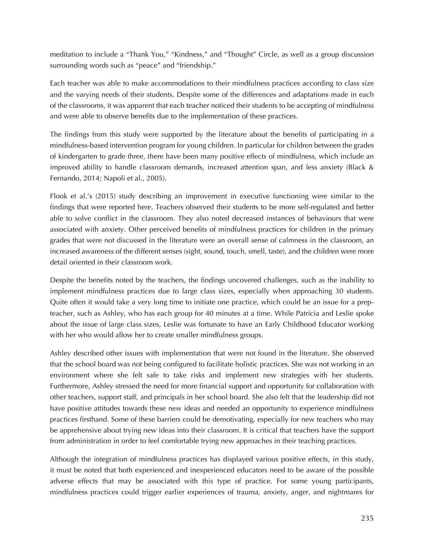meditation to include a "Thank You," "Kindness," and "Thought" Circle, as well as a group discussion surrounding words such as "peace" and "friendship."

Each teacher was able to make accommodations to their mindfulness practices according to class size and the varying needs of their students. Despite some of the differences and adaptations made in each of the classrooms, it was apparent that each teacher noticed their students to be accepting of mindfulness and were able to observe benefits due to the implementation of these practices.

The findings from this study were supported by the literature about the benefits of participating in a mindfulness-based intervention program for young children. In particular for children between the grades of kindergarten to grade three, there have been many positive effects of mindfulness, which include an improved ability to handle classroom demands, increased attention span, and less anxiety (Black & Fernando, 2014; Napoli et al., 2005).

Flook et al.'s (2015) study describing an improvement in executive functioning were similar to the findings that were reported here. Teachers observed their students to be more self-regulated and better able to solve conflict in the classroom. They also noted decreased instances of behaviours that were associated with anxiety. Other perceived benefits of mindfulness practices for children in the primary grades that were not discussed in the literature were an overall sense of calmness in the classroom, an increased awareness of the different senses (sight, sound, touch, smell, taste), and the children were more detail oriented in their classroom work.

Despite the benefits noted by the teachers, the findings uncovered challenges, such as the inability to implement mindfulness practices due to large class sizes, especially when approaching 30 students. Quite often it would take a very long time to initiate one practice, which could be an issue for a prepteacher, such as Ashley, who has each group for 40 minutes at a time. While Patricia and Leslie spoke about the issue of large class sizes, Leslie was fortunate to have an Early Childhood Educator working with her who would allow her to create smaller mindfulness groups.

Ashley described other issues with implementation that were not found in the literature. She observed that the school board was not being configured to facilitate holistic practices. She was not working in an environment where she felt safe to take risks and implement new strategies with her students. Furthermore, Ashley stressed the need for more financial support and opportunity for collaboration with other teachers, support staff, and principals in her school board. She also felt that the leadership did not have positive attitudes towards these new ideas and needed an opportunity to experience mindfulness practices firsthand. Some of these barriers could be demotivating, especially for new teachers who may be apprehensive about trying new ideas into their classroom. It is critical that teachers have the support from administration in order to feel comfortable trying new approaches in their teaching practices.

Although the integration of mindfulness practices has displayed various positive effects, in this study, it must be noted that both experienced and inexperienced educators need to be aware of the possible adverse effects that may be associated with this type of practice. For some young participants, mindfulness practices could trigger earlier experiences of trauma, anxiety, anger, and nightmares for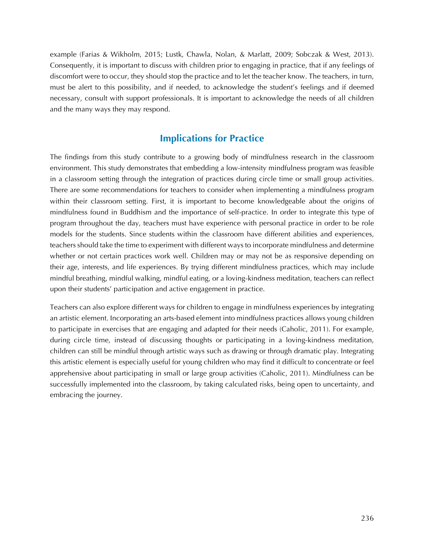example (Farias & Wikholm, 2015; Lustk, Chawla, Nolan, & Marlatt, 2009; Sobczak & West, 2013). Consequently, it is important to discuss with children prior to engaging in practice, that if any feelings of discomfort were to occur, they should stop the practice and to let the teacher know. The teachers, in turn, must be alert to this possibility, and if needed, to acknowledge the student's feelings and if deemed necessary, consult with support professionals. It is important to acknowledge the needs of all children and the many ways they may respond.

## **Implications for Practice**

The findings from this study contribute to a growing body of mindfulness research in the classroom environment. This study demonstrates that embedding a low-intensity mindfulness program was feasible in a classroom setting through the integration of practices during circle time or small group activities. There are some recommendations for teachers to consider when implementing a mindfulness program within their classroom setting. First, it is important to become knowledgeable about the origins of mindfulness found in Buddhism and the importance of self-practice. In order to integrate this type of program throughout the day, teachers must have experience with personal practice in order to be role models for the students. Since students within the classroom have different abilities and experiences, teachers should take the time to experiment with different ways to incorporate mindfulness and determine whether or not certain practices work well. Children may or may not be as responsive depending on their age, interests, and life experiences. By trying different mindfulness practices, which may include mindful breathing, mindful walking, mindful eating, or a loving-kindness meditation, teachers can reflect upon their students' participation and active engagement in practice.

Teachers can also explore different ways for children to engage in mindfulness experiences by integrating an artistic element. Incorporating an arts-based element into mindfulness practices allows young children to participate in exercises that are engaging and adapted for their needs (Caholic, 2011). For example, during circle time, instead of discussing thoughts or participating in a loving-kindness meditation, children can still be mindful through artistic ways such as drawing or through dramatic play. Integrating this artistic element is especially useful for young children who may find it difficult to concentrate or feel apprehensive about participating in small or large group activities (Caholic, 2011). Mindfulness can be successfully implemented into the classroom, by taking calculated risks, being open to uncertainty, and embracing the journey.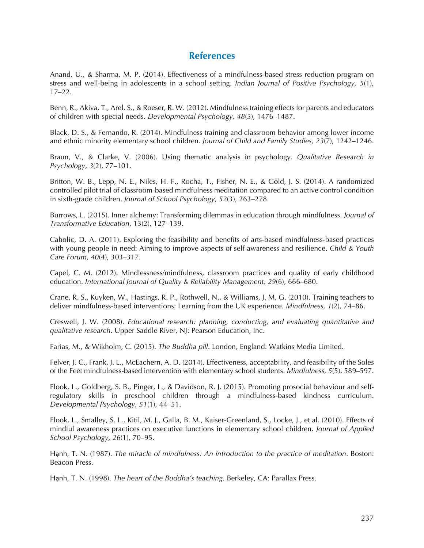#### **References**

Anand, U., & Sharma, M. P. (2014). Effectiveness of a mindfulness-based stress reduction program on stress and well-being in adolescents in a school setting. *Indian Journal of Positive Psychology, 5*(1), 17–22.

Benn, R., Akiva, T., Arel, S., & Roeser, R. W. (2012). Mindfulness training effects for parents and educators of children with special needs. *Developmental Psychology, 48*(5), 1476–1487.

Black, D. S., & Fernando, R. (2014). Mindfulness training and classroom behavior among lower income and ethnic minority elementary school children. *Journal of Child and Family Studies, 23*(7), 1242–1246.

Braun, V., & Clarke, V. (2006). Using thematic analysis in psychology. *Qualitative Research in Psychology, 3*(2), 77–101.

Britton, W. B., Lepp, N. E., Niles, H. F., Rocha, T., Fisher, N. E., & Gold, J. S. (2014). A randomized controlled pilot trial of classroom-based mindfulness meditation compared to an active control condition in sixth-grade children. *Journal of School Psychology, 52*(3), 263–278.

Burrows, L. (2015). Inner alchemy: Transforming dilemmas in education through mindfulness. *Journal of Transformative Education*, 13(2), 127–139.

Caholic, D. A. (2011). Exploring the feasibility and benefits of arts-based mindfulness-based practices with young people in need: Aiming to improve aspects of self-awareness and resilience. *Child & Youth Care Forum, 40*(4), 303–317.

Capel, C. M. (2012). Mindlessness/mindfulness, classroom practices and quality of early childhood education. *International Journal of Quality & Reliability Management, 29*(6), 666–680.

Crane, R. S., Kuyken, W., Hastings, R. P., Rothwell, N., & Williams, J. M. G. (2010). Training teachers to deliver mindfulness-based interventions: Learning from the UK experience. *Mindfulness, 1*(2), 74–86.

Creswell, J. W. (2008). *Educational research: planning, conducting, and evaluating quantitative and qualitative research*. Upper Saddle River, NJ: Pearson Education, Inc.

Farias, M., & Wikholm, C. (2015). *The Buddha pill*. London, England: Watkins Media Limited.

Felver, J. C., Frank, J. L., McEachern, A. D. (2014). Effectiveness, acceptability, and feasibility of the Soles of the Feet mindfulness-based intervention with elementary school students. *Mindfulness, 5*(5), 589–597.

Flook, L., Goldberg, S. B., Pinger, L., & Davidson, R. J. (2015). Promoting prosocial behaviour and selfregulatory skills in preschool children through a mindfulness-based kindness curriculum. *Developmental Psychology, 51*(1), 44–51.

Flook, L., Smalley, S. L., Kitil, M. J., Galla, B. M., Kaiser-Greenland, S., Locke, J., et al. (2010). Effects of mindful awareness practices on executive functions in elementary school children. *Journal of Applied School Psychology, 26*(1), 70–95.

Hạnh, T. N. (1987). *The miracle of mindfulness: An introduction to the practice of meditation*. Boston: Beacon Press.

Hạnh, T. N. (1998). *The heart of the Buddha's teaching*. Berkeley, CA: Parallax Press.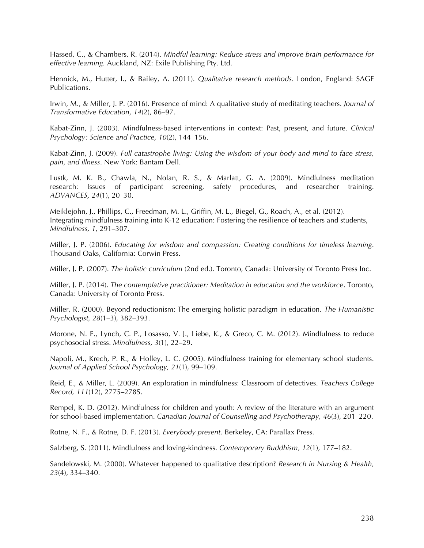Hassed, C., & Chambers, R. (2014). *Mindful learning: Reduce stress and improve brain performance for effective learning.* Auckland, NZ: Exile Publishing Pty. Ltd.

Hennick, M., Hutter, I., & Bailey, A. (2011). *Qualitative research methods*. London, England: SAGE Publications.

Irwin, M., & Miller, J. P. (2016). Presence of mind: A qualitative study of meditating teachers. *Journal of Transformative Education*, *14*(2), 86–97.

Kabat-Zinn, J. (2003). Mindfulness-based interventions in context: Past, present, and future. *Clinical Psychology: Science and Practice, 10*(2), 144–156.

Kabat-Zinn, J. (2009). *Full catastrophe living: Using the wisdom of your body and mind to face stress, pain, and illness*. New York: Bantam Dell.

Lustk, M. K. B., Chawla, N., Nolan, R. S., & Marlatt, G. A. (2009). Mindfulness meditation research: Issues of participant screening, safety procedures, and researcher training. *ADVANCES, 24*(1), 20–30.

Meiklejohn, J., Phillips, C., Freedman, M. L., Griffin, M. L., Biegel, G., Roach, A., et al. (2012). Integrating mindfulness training into K-12 education: Fostering the resilience of teachers and students, *Mindfulness, 1*, 291–307.

Miller, J. P. (2006). *Educating for wisdom and compassion: Creating conditions for timeless learning*. Thousand Oaks, California: Corwin Press.

Miller, J. P. (2007). *The holistic curriculum* (2nd ed.). Toronto, Canada: University of Toronto Press Inc.

Miller, J. P. (2014). *The contemplative practitioner: Meditation in education and the workforce*. Toronto, Canada: University of Toronto Press.

Miller, R. (2000). Beyond reductionism: The emerging holistic paradigm in education. *The Humanistic Psychologist, 28*(1–3), 382–393.

Morone, N. E., Lynch, C. P., Losasso, V. J., Liebe, K., & Greco, C. M. (2012). Mindfulness to reduce psychosocial stress. *Mindfulness, 3*(1), 22–29.

Napoli, M., Krech, P. R., & Holley, L. C. (2005). Mindfulness training for elementary school students. *Journal of Applied School Psychology, 21*(1), 99–109.

Reid, E., & Miller, L. (2009). An exploration in mindfulness: Classroom of detectives. *Teachers College Record, 111*(12), 2775–2785.

Rempel, K. D. (2012). Mindfulness for children and youth: A review of the literature with an argument for school-based implementation. *Canadian Journal of Counselling and Psychotherapy, 46*(3), 201–220.

Rotne, N. F., & Rotne, D. F. (2013). *Everybody present*. Berkeley, CA: Parallax Press.

Salzberg, S. (2011). Mindfulness and loving-kindness. *Contemporary Buddhism, 12*(1), 177–182.

Sandelowski, M. (2000). Whatever happened to qualitative description? *Research in Nursing & Health, 23*(4), 334–340.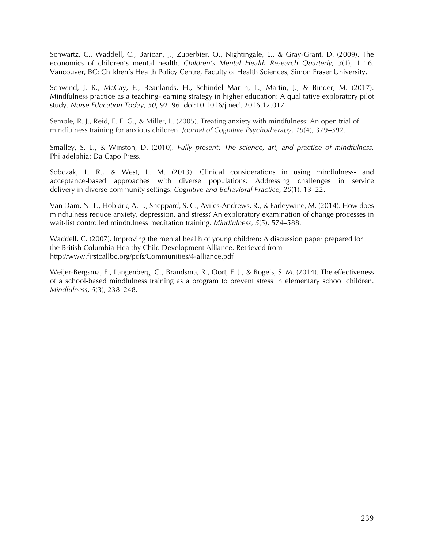Schwartz, C., Waddell, C., Barican, J., Zuberbier, O., Nightingale, L., & Gray-Grant, D. (2009). The economics of children's mental health. *Children's Mental Health Research Quarterly, 3*(1), 1–16. Vancouver, BC: Children's Health Policy Centre, Faculty of Health Sciences, Simon Fraser University.

Schwind, J. K., McCay, E., Beanlands, H., Schindel Martin, L., Martin, J., & Binder, M. (2017). Mindfulness practice as a teaching-learning strategy in higher education: A qualitative exploratory pilot study. *Nurse Education Today, 50*, 92–96. doi:10.1016/j.nedt.2016.12.017

Semple, R. J., Reid, E. F. G., & Miller, L. (2005). Treating anxiety with mindfulness: An open trial of mindfulness training for anxious children. *Journal of Cognitive Psychotherapy, 19*(4), 379–392.

Smalley, S. L., & Winston, D. (2010). *Fully present: The science, art, and practice of mindfulness.* Philadelphia: Da Capo Press.

Sobczak, L. R., & West, L. M. (2013). Clinical considerations in using mindfulness- and acceptance-based approaches with diverse populations: Addressing challenges in service delivery in diverse community settings. *Cognitive and Behavioral Practice, 20*(1), 13–22.

Van Dam, N. T., Hobkirk, A. L., Sheppard, S. C., Aviles-Andrews, R., & Earleywine, M. (2014). How does mindfulness reduce anxiety, depression, and stress? An exploratory examination of change processes in wait-list controlled mindfulness meditation training. *Mindfulness, 5*(5), 574–588.

Waddell, C. (2007). Improving the mental health of young children: A discussion paper prepared for the British Columbia Healthy Child Development Alliance. Retrieved from http://www.firstcallbc.org/pdfs/Communities/4-alliance.pdf

Weijer-Bergsma, E., Langenberg, G., Brandsma, R., Oort, F. J., & Bogels, S. M. (2014). The effectiveness of a school-based mindfulness training as a program to prevent stress in elementary school children. *Mindfulness, 5*(3), 238–248.